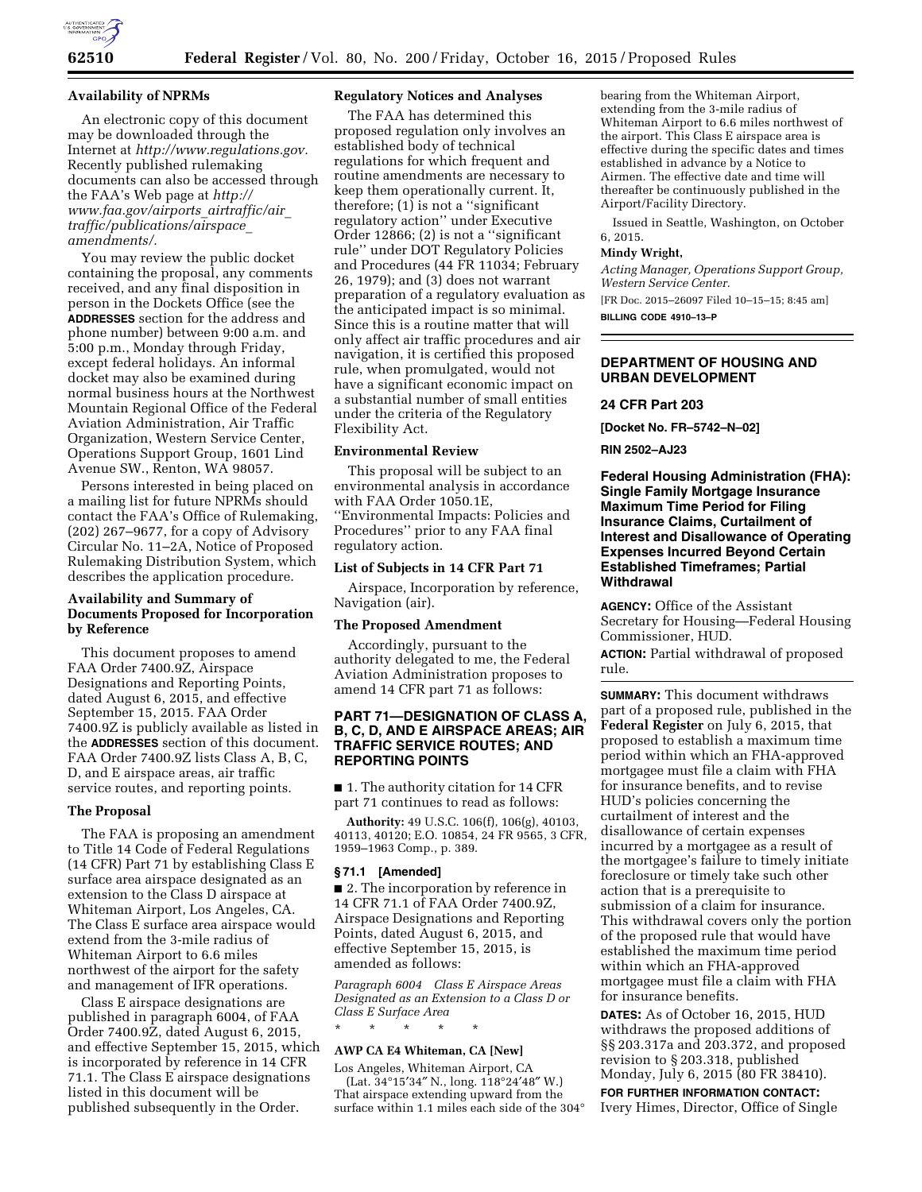

#### **Availability of NPRMs**

An electronic copy of this document may be downloaded through the Internet at *[http://www.regulations.gov.](http://www.regulations.gov)*  Recently published rulemaking documents can also be accessed through the FAA's Web page at *[http://](http://www.faa.gov/airports_airtraffic/air_traffic/publications/airspace_amendments/) [www.faa.gov/airports](http://www.faa.gov/airports_airtraffic/air_traffic/publications/airspace_amendments/)*\_*airtraffic/air*\_ *[traffic/publications/airspace](http://www.faa.gov/airports_airtraffic/air_traffic/publications/airspace_amendments/)*\_ *[amendments/.](http://www.faa.gov/airports_airtraffic/air_traffic/publications/airspace_amendments/)* 

You may review the public docket containing the proposal, any comments received, and any final disposition in person in the Dockets Office (see the **ADDRESSES** section for the address and phone number) between 9:00 a.m. and 5:00 p.m., Monday through Friday, except federal holidays. An informal docket may also be examined during normal business hours at the Northwest Mountain Regional Office of the Federal Aviation Administration, Air Traffic Organization, Western Service Center, Operations Support Group, 1601 Lind Avenue SW., Renton, WA 98057.

Persons interested in being placed on a mailing list for future NPRMs should contact the FAA's Office of Rulemaking, (202) 267–9677, for a copy of Advisory Circular No. 11–2A, Notice of Proposed Rulemaking Distribution System, which describes the application procedure.

### **Availability and Summary of Documents Proposed for Incorporation by Reference**

This document proposes to amend FAA Order 7400.9Z, Airspace Designations and Reporting Points, dated August 6, 2015, and effective September 15, 2015. FAA Order 7400.9Z is publicly available as listed in the **ADDRESSES** section of this document. FAA Order 7400.9Z lists Class A, B, C, D, and E airspace areas, air traffic service routes, and reporting points.

#### **The Proposal**

The FAA is proposing an amendment to Title 14 Code of Federal Regulations (14 CFR) Part 71 by establishing Class E surface area airspace designated as an extension to the Class D airspace at Whiteman Airport, Los Angeles, CA. The Class E surface area airspace would extend from the 3-mile radius of Whiteman Airport to 6.6 miles northwest of the airport for the safety and management of IFR operations.

Class E airspace designations are published in paragraph 6004, of FAA Order 7400.9Z, dated August 6, 2015, and effective September 15, 2015, which is incorporated by reference in 14 CFR 71.1. The Class E airspace designations listed in this document will be published subsequently in the Order.

# **Regulatory Notices and Analyses**

The FAA has determined this proposed regulation only involves an established body of technical regulations for which frequent and routine amendments are necessary to keep them operationally current. It, therefore; (1) is not a ''significant regulatory action'' under Executive Order 12866; (2) is not a ''significant rule'' under DOT Regulatory Policies and Procedures (44 FR 11034; February 26, 1979); and (3) does not warrant preparation of a regulatory evaluation as the anticipated impact is so minimal. Since this is a routine matter that will only affect air traffic procedures and air navigation, it is certified this proposed rule, when promulgated, would not have a significant economic impact on a substantial number of small entities under the criteria of the Regulatory Flexibility Act.

#### **Environmental Review**

This proposal will be subject to an environmental analysis in accordance with FAA Order 1050.1E, ''Environmental Impacts: Policies and Procedures'' prior to any FAA final regulatory action.

### **List of Subjects in 14 CFR Part 71**

Airspace, Incorporation by reference, Navigation (air).

#### **The Proposed Amendment**

Accordingly, pursuant to the authority delegated to me, the Federal Aviation Administration proposes to amend 14 CFR part 71 as follows:

### **PART 71—DESIGNATION OF CLASS A, B, C, D, AND E AIRSPACE AREAS; AIR TRAFFIC SERVICE ROUTES; AND REPORTING POINTS**

■ 1. The authority citation for 14 CFR part 71 continues to read as follows:

**Authority:** 49 U.S.C. 106(f), 106(g), 40103, 40113, 40120; E.O. 10854, 24 FR 9565, 3 CFR, 1959–1963 Comp., p. 389.

#### **§ 71.1 [Amended]**

■ 2. The incorporation by reference in 14 CFR 71.1 of FAA Order 7400.9Z, Airspace Designations and Reporting Points, dated August 6, 2015, and effective September 15, 2015, is amended as follows:

*Paragraph 6004 Class E Airspace Areas Designated as an Extension to a Class D or Class E Surface Area* 

#### **AWP CA E4 Whiteman, CA [New]**

\* \* \* \* \*

Los Angeles, Whiteman Airport, CA (Lat. 34°15′34″ N., long. 118°24′48″ W.) That airspace extending upward from the surface within 1.1 miles each side of the 304°

bearing from the Whiteman Airport, extending from the 3-mile radius of Whiteman Airport to 6.6 miles northwest of the airport. This Class E airspace area is effective during the specific dates and times established in advance by a Notice to Airmen. The effective date and time will thereafter be continuously published in the Airport/Facility Directory.

Issued in Seattle, Washington, on October 6, 2015.

#### **Mindy Wright,**

*Acting Manager, Operations Support Group, Western Service Center.* 

[FR Doc. 2015–26097 Filed 10–15–15; 8:45 am] **BILLING CODE 4910–13–P** 

# **DEPARTMENT OF HOUSING AND URBAN DEVELOPMENT**

# **24 CFR Part 203**

**[Docket No. FR–5742–N–02]** 

### **RIN 2502–AJ23**

**Federal Housing Administration (FHA): Single Family Mortgage Insurance Maximum Time Period for Filing Insurance Claims, Curtailment of Interest and Disallowance of Operating Expenses Incurred Beyond Certain Established Timeframes; Partial Withdrawal** 

**AGENCY:** Office of the Assistant Secretary for Housing—Federal Housing Commissioner, HUD.

**ACTION:** Partial withdrawal of proposed rule.

**SUMMARY:** This document withdraws part of a proposed rule, published in the **Federal Register** on July 6, 2015, that proposed to establish a maximum time period within which an FHA-approved mortgagee must file a claim with FHA for insurance benefits, and to revise HUD's policies concerning the curtailment of interest and the disallowance of certain expenses incurred by a mortgagee as a result of the mortgagee's failure to timely initiate foreclosure or timely take such other action that is a prerequisite to submission of a claim for insurance. This withdrawal covers only the portion of the proposed rule that would have established the maximum time period within which an FHA-approved mortgagee must file a claim with FHA for insurance benefits.

**DATES:** As of October 16, 2015, HUD withdraws the proposed additions of §§ 203.317a and 203.372, and proposed revision to § 203.318, published Monday, July 6, 2015 (80 FR 38410).

**FOR FURTHER INFORMATION CONTACT:**  Ivery Himes, Director, Office of Single